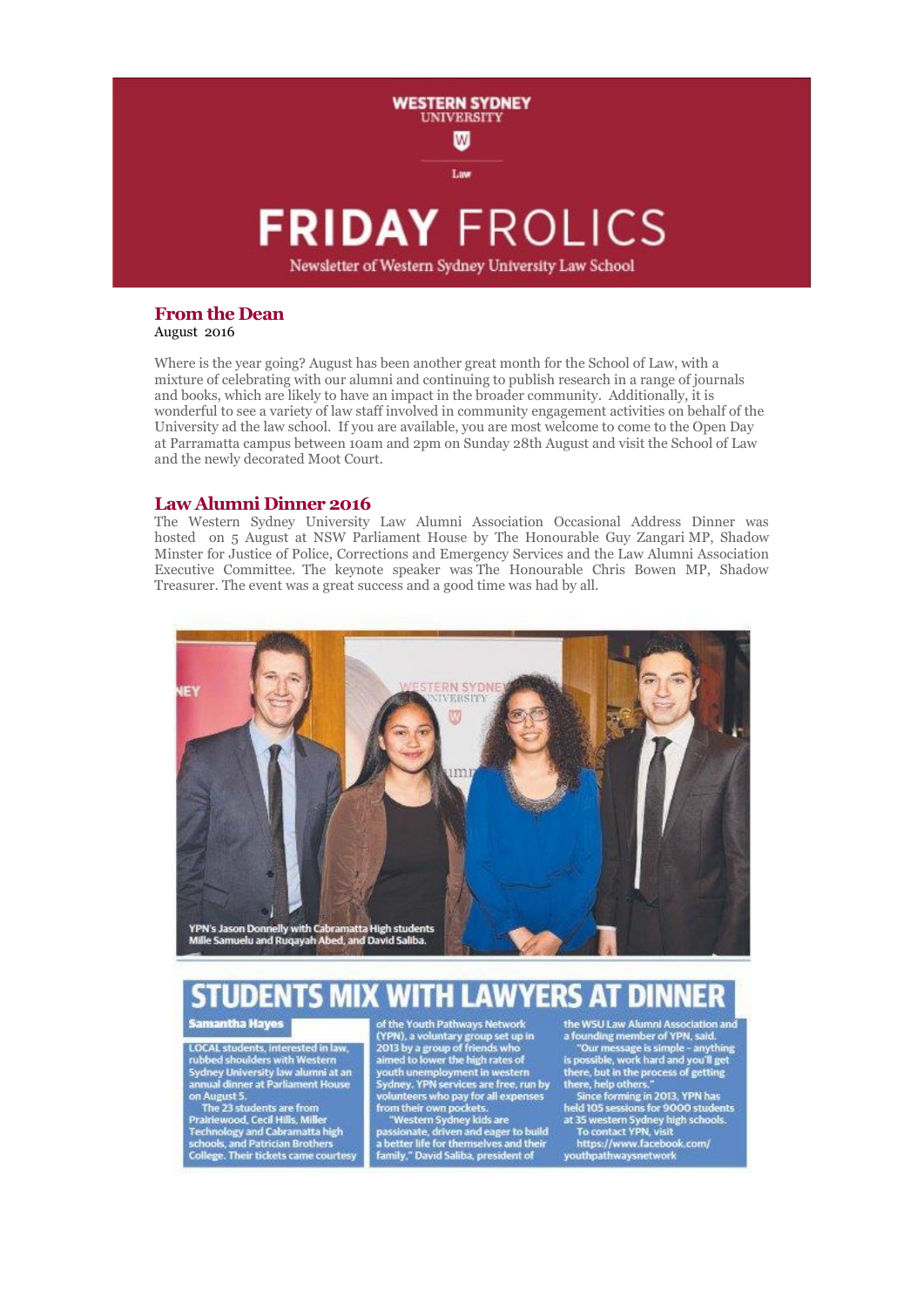

### **From the Dean** August 2016

Where is the year going? August has been another great month for the School of Law, with a mixture of celebrating with our alumni and continuing to publish research in a range of journals and books, which are likely to have an impact in the broader community. Additionally, it is wonderful to see a variety of law staff involved in community engagement activities on behalf of the University ad the law school. If you are available, you are most welcome to come to the Open Day at Parramatta campus between 10am and 2pm on Sunday 28th August and visit the School of Law and the newly decorated Moot Court.

# **Law Alumni Dinner 2016**

The Western Sydney University Law Alumni Association Occasional Address Dinner was hosted on 5 August at NSW Parliament House by The Honourable Guy Zangari MP, Shadow Minster for Justice of Police, Corrections and Emergency Services and the Law Alumni Association Executive Committee. The keynote speaker was The Honourable Chris Bowen MP, Shadow Treasurer. The event was a great success and a good time was had by all.



#### **WITH LAWYERS AT DINNER STUDE ITS MIX**

**Samantha Hayes** 

LOCAL students, interested in law,<br>rubbed shoulders with Western<br>Sydney University law alumni at an<br>annual dinner at Parliament House

annual dinner at Parliament House<br>on August 5.<br>The 23 students are from<br>Prairiewood, Cecil Hills, Miller<br>Technology and Cabramatta high<br>schools, and Patrician Brothers<br>College. Their tickets came courtesy

of the Youth Pathways Network or the 1 would name and the high rates of<br>2013 by a group of friends who<br>aimed to lower the high rates of<br>youth unemployment in western<br>Sydney. YPN services are free, run by lunteers who pay for all expenses

From their own pockets.<br>"Western Sydney kids are<br>passionate, driven and eager to build<br>a better life for themselves and their<br>family," David Saliba, president of

the WSU Law Alumni Association and the WSU Law Alumni Association and<br>a founding member of YPN, said.<br>"Our message is simple - anything<br>is possible, work hard and you'll get<br>there, but in the process of getting<br>there, help others."<br>Since forming in 2013, YP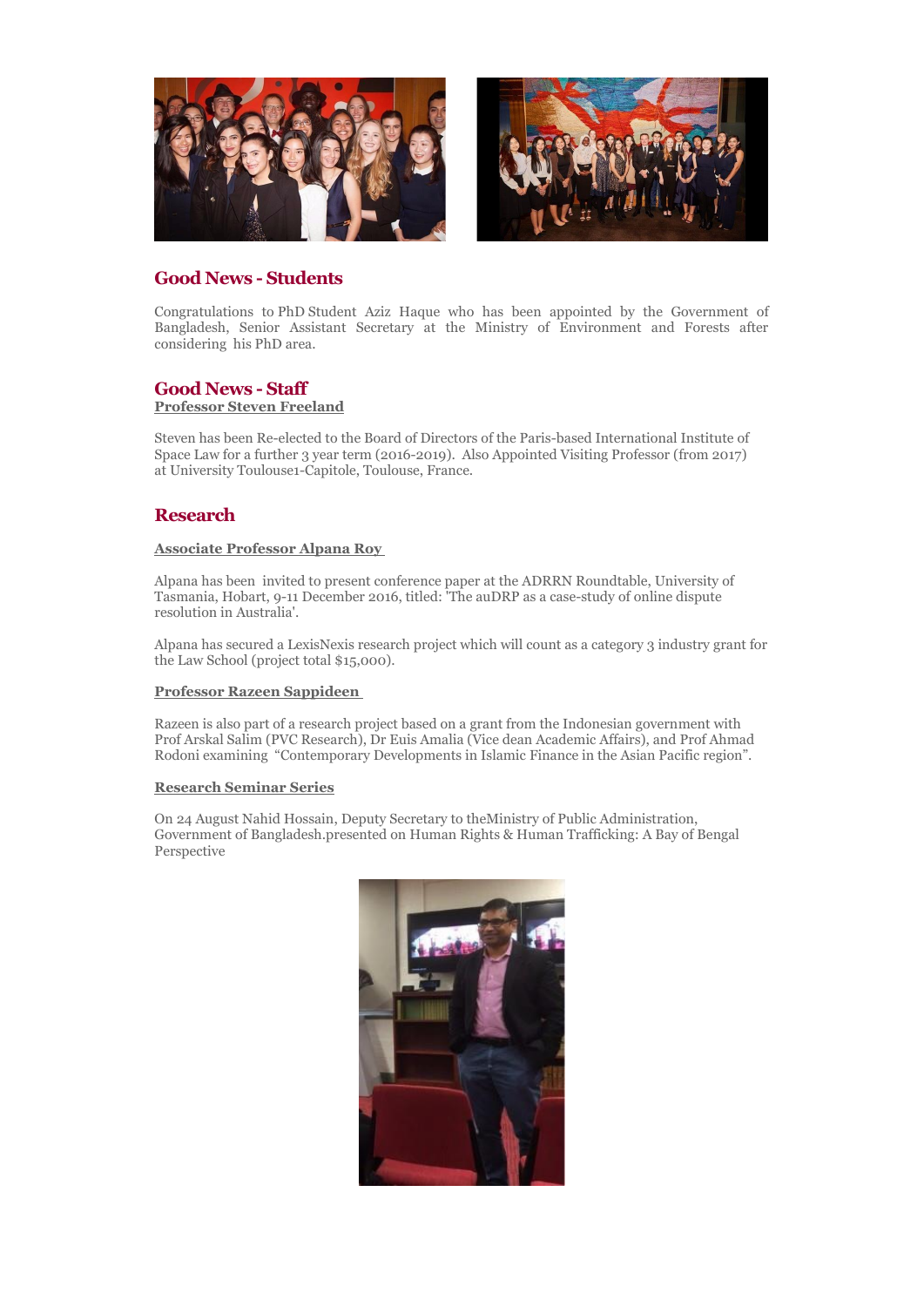

# **Good News - Students**

Congratulations to PhD Student Aziz Haque who has been appointed by the Government of Bangladesh, Senior Assistant Secretary at the Ministry of Environment and Forests after considering his PhD area.

# **Good News - Staff**

# **Professor Steven Freeland**

Steven has been Re-elected to the Board of Directors of the Paris-based International Institute of Space Law for a further 3 year term (2016-2019). Also Appointed Visiting Professor (from 2017) at University Toulouse1-Capitole, Toulouse, France.

# **Research**

### **Associate Professor Alpana Roy**

Alpana has been invited to present conference paper at the ADRRN Roundtable, University of Tasmania, Hobart, 9-11 December 2016, titled: 'The auDRP as a case-study of online dispute resolution in Australia'.

Alpana has secured a LexisNexis research project which will count as a category 3 industry grant for the Law School (project total \$15,000).

# **Professor Razeen Sappideen**

Razeen is also part of a research project based on a grant from the Indonesian government with Prof Arskal Salim (PVC Research), Dr Euis Amalia (Vice dean Academic Affairs), and Prof Ahmad Rodoni examining "Contemporary Developments in Islamic Finance in the Asian Pacific region".

### **Research Seminar Series**

On 24 August Nahid Hossain, Deputy Secretary to theMinistry of Public Administration, Government of Bangladesh.presented on Human Rights & Human Trafficking: A Bay of Bengal Perspective

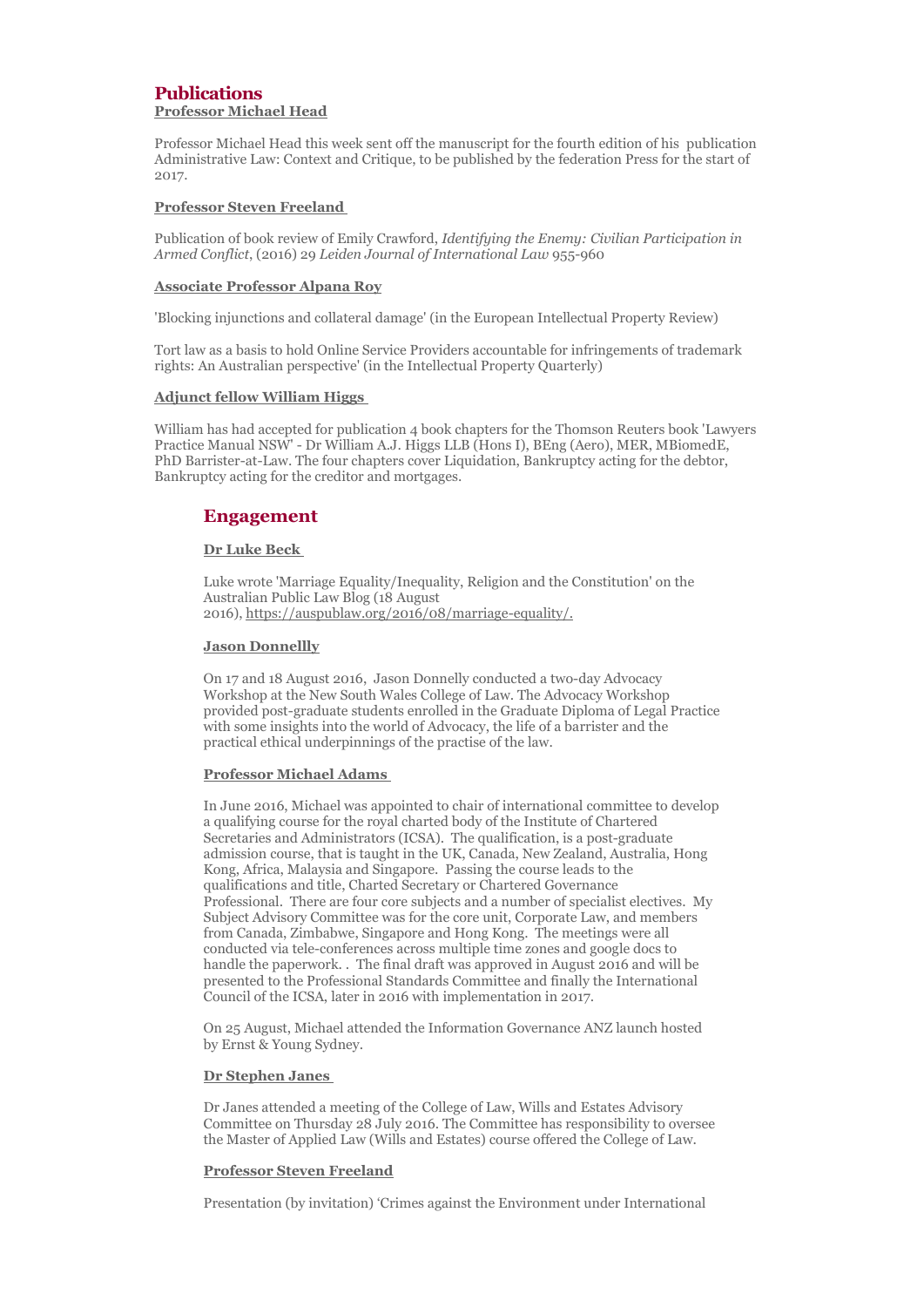# **Publications Professor Michael Head**

Professor Michael Head this week sent off the manuscript for the fourth edition of his publication Administrative Law: Context and Critique, to be published by the federation Press for the start of 2017.

### **Professor Steven Freeland**

Publication of book review of Emily Crawford, *Identifying the Enemy: Civilian Participation in Armed Conflict*, (2016) 29 *Leiden Journal of International Law* 955-960

#### **Associate Professor Alpana Roy**

'Blocking injunctions and collateral damage' (in the European Intellectual Property Review)

Tort law as a basis to hold Online Service Providers accountable for infringements of trademark rights: An Australian perspective' (in the Intellectual Property Quarterly)

#### **Adjunct fellow William Higgs**

William has had accepted for publication 4 book chapters for the Thomson Reuters book 'Lawyers Practice Manual NSW' - Dr William A.J. Higgs LLB (Hons I), BEng (Aero), MER, MBiomedE, PhD Barrister-at-Law. The four chapters cover Liquidation, Bankruptcy acting for the debtor, Bankruptcy acting for the creditor and mortgages.

# **Engagement**

#### **Dr Luke Beck**

Luke wrote 'Marriage Equality/Inequality, Religion and the Constitution' on the Australian Public Law Blog (18 August 2016), [https://auspublaw.org/2016/08/marriage-equality/.](https://auspublaw.org/2016/08/marriage-equality/)

#### **Jason Donnellly**

On 17 and 18 August 2016, Jason Donnelly conducted a two-day Advocacy Workshop at the New South Wales College of Law. The Advocacy Workshop provided post-graduate students enrolled in the Graduate Diploma of Legal Practice with some insights into the world of Advocacy, the life of a barrister and the practical ethical underpinnings of the practise of the law.

#### **Professor Michael Adams**

In June 2016, Michael was appointed to chair of international committee to develop a qualifying course for the royal charted body of the Institute of Chartered Secretaries and Administrators (ICSA). The qualification, is a post-graduate admission course, that is taught in the UK, Canada, New Zealand, Australia, Hong Kong, Africa, Malaysia and Singapore. Passing the course leads to the qualifications and title, Charted Secretary or Chartered Governance Professional. There are four core subjects and a number of specialist electives. My Subject Advisory Committee was for the core unit, Corporate Law, and members from Canada, Zimbabwe, Singapore and Hong Kong. The meetings were all conducted via tele-conferences across multiple time zones and google docs to handle the paperwork. . The final draft was approved in August 2016 and will be presented to the Professional Standards Committee and finally the International Council of the ICSA, later in 2016 with implementation in 2017.

On 25 August, Michael attended the Information Governance ANZ launch hosted by Ernst & Young Sydney.

#### **Dr Stephen Janes**

Dr Janes attended a meeting of the College of Law, Wills and Estates Advisory Committee on Thursday 28 July 2016. The Committee has responsibility to oversee the Master of Applied Law (Wills and Estates) course offered the College of Law.

#### **Professor Steven Freeland**

Presentation (by invitation) 'Crimes against the Environment under International